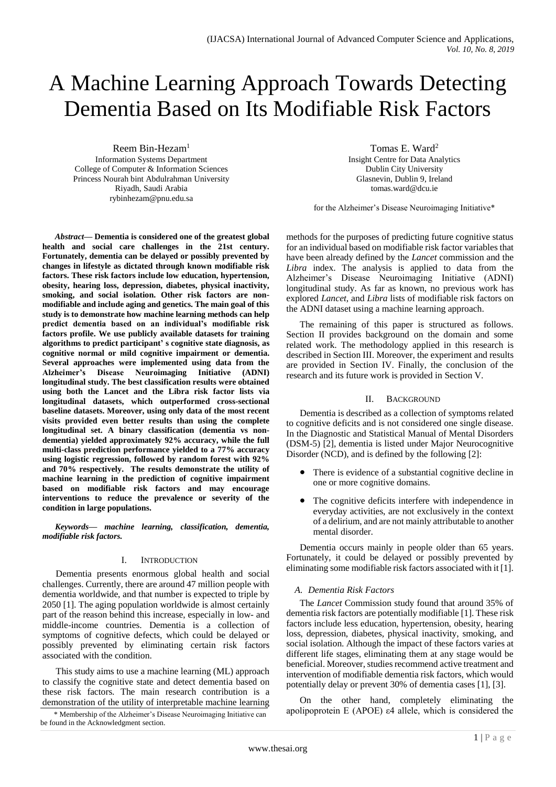# A Machine Learning Approach Towards Detecting Dementia Based on Its Modifiable Risk Factors

Reem Bin-Hezam<sup>1</sup> Information Systems Department College of Computer & Information Sciences Princess Nourah bint Abdulrahman University Riyadh, Saudi Arabia rybinhezam@pnu.edu.sa

*Abstract***— Dementia is considered one of the greatest global health and social care challenges in the 21st century. Fortunately, dementia can be delayed or possibly prevented by changes in lifestyle as dictated through known modifiable risk factors. These risk factors include low education, hypertension, obesity, hearing loss, depression, diabetes, physical inactivity, smoking, and social isolation. Other risk factors are nonmodifiable and include aging and genetics. The main goal of this study is to demonstrate how machine learning methods can help predict dementia based on an individual's modifiable risk factors profile. We use publicly available datasets for training algorithms to predict participant' s cognitive state diagnosis, as cognitive normal or mild cognitive impairment or dementia. Several approaches were implemented using data from the Alzheimer's Disease Neuroimaging Initiative (ADNI) longitudinal study. The best classification results were obtained using both the Lancet and the Libra risk factor lists via longitudinal datasets, which outperformed cross-sectional baseline datasets. Moreover, using only data of the most recent visits provided even better results than using the complete longitudinal set. A binary classification (dementia vs nondementia) yielded approximately 92% accuracy, while the full multi-class prediction performance yielded to a 77% accuracy using logistic regression, followed by random forest with 92% and 70% respectively. The results demonstrate the utility of machine learning in the prediction of cognitive impairment based on modifiable risk factors and may encourage interventions to reduce the prevalence or severity of the condition in large populations.**

*Keywords— machine learning, classification, dementia, modifiable risk factors.*

## I. INTRODUCTION

Dementia presents enormous global health and social challenges. Currently, there are around 47 million people with dementia worldwide, and that number is expected to triple by 2050 [1]. The aging population worldwide is almost certainly part of the reason behind this increase, especially in low- and middle-income countries. Dementia is a collection of symptoms of cognitive defects, which could be delayed or possibly prevented by eliminating certain risk factors associated with the condition.

This study aims to use a machine learning (ML) approach to classify the cognitive state and detect dementia based on these risk factors. The main research contribution is a demonstration of the utility of interpretable machine learning

be found in the Acknowledgment section.

Tomas E. Ward<sup>2</sup> Insight Centre for Data Analytics Dublin City University Glasnevin, Dublin 9, Ireland tomas.ward@dcu.ie

for the Alzheimer's Disease Neuroimaging Initiative\*

methods for the purposes of predicting future cognitive status for an individual based on modifiable risk factor variables that have been already defined by the *Lancet* commission and the *Libra* index. The analysis is applied to data from the Alzheimer's Disease Neuroimaging Initiative (ADNI) longitudinal study. As far as known, no previous work has explored *Lancet,* and *Libra* lists of modifiable risk factors on the ADNI dataset using a machine learning approach.

The remaining of this paper is structured as follows. Section II provides background on the domain and some related work. The methodology applied in this research is described in Section III. Moreover, the experiment and results are provided in Section IV. Finally, the conclusion of the research and its future work is provided in Section V.

## II. BACKGROUND

Dementia is described as a collection of symptoms related to cognitive deficits and is not considered one single disease. In the Diagnostic and Statistical Manual of Mental Disorders (DSM-5) [2], dementia is listed under Major Neurocognitive Disorder (NCD), and is defined by the following [2]:

- There is evidence of a substantial cognitive decline in one or more cognitive domains.
- The cognitive deficits interfere with independence in everyday activities, are not exclusively in the context of a delirium, and are not mainly attributable to another mental disorder.

Dementia occurs mainly in people older than 65 years. Fortunately, it could be delayed or possibly prevented by eliminating some modifiable risk factors associated with it [1].

## *A. Dementia Risk Factors*

The *Lancet* Commission study found that around 35% of dementia risk factors are potentially modifiable [1]. These risk factors include less education, hypertension, obesity, hearing loss, depression, diabetes, physical inactivity, smoking, and social isolation. Although the impact of these factors varies at different life stages, eliminating them at any stage would be beneficial. Moreover, studies recommend active treatment and intervention of modifiable dementia risk factors, which would potentially delay or prevent 30% of dementia cases [1], [3].

On the other hand, completely eliminating the \* Membership of the Alzheimer's Disease Neuroimaging Initiative can apolipoprotein E (APOE) ε4 allele, which is considered the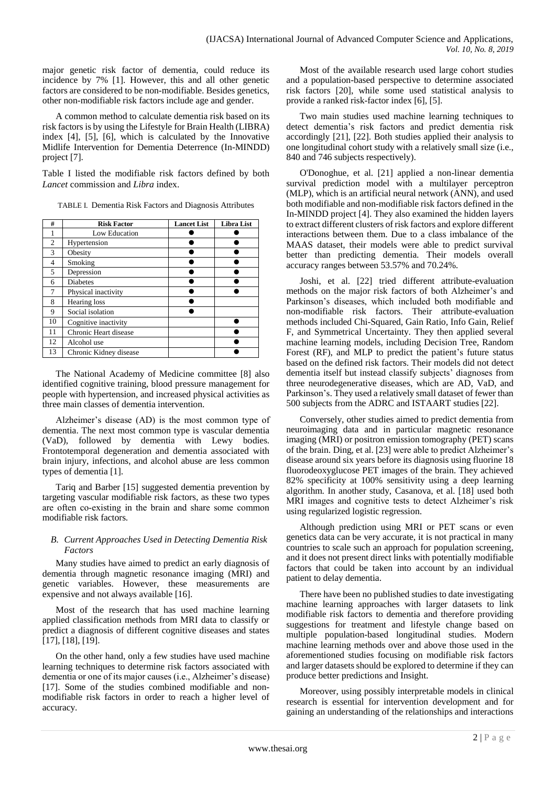major genetic risk factor of dementia, could reduce its incidence by 7% [1]. However, this and all other genetic factors are considered to be non-modifiable. Besides genetics, other non-modifiable risk factors include age and gender.

A common method to calculate dementia risk based on its risk factors is by using the Lifestyle for Brain Health (LIBRA) index [4], [5], [6], which is calculated by the Innovative Midlife Intervention for Dementia Deterrence (In-MINDD) project [7].

Table I listed the modifiable risk factors defined by both *Lancet* commission and *Libra* index.

| TABLE I. Dementia Risk Factors and Diagnosis Attributes |
|---------------------------------------------------------|
|---------------------------------------------------------|

| #              | <b>Risk Factor</b>     | <b>Lancet List</b> | <b>Libra List</b> |
|----------------|------------------------|--------------------|-------------------|
|                | Low Education          |                    |                   |
| $\mathfrak{2}$ | Hypertension           |                    |                   |
| 3              | Obesity                |                    |                   |
| 4              | Smoking                |                    |                   |
| 5              | Depression             |                    |                   |
| 6              | <b>Diabetes</b>        |                    |                   |
| 7              | Physical inactivity    |                    |                   |
| 8              | Hearing loss           |                    |                   |
| 9              | Social isolation       |                    |                   |
| 10             | Cognitive inactivity   |                    |                   |
| 11             | Chronic Heart disease  |                    |                   |
| 12             | Alcohol use            |                    |                   |
| 13             | Chronic Kidney disease |                    |                   |

The National Academy of Medicine committee [8] also identified cognitive training, blood pressure management for people with hypertension, and increased physical activities as three main classes of dementia intervention.

Alzheimer's disease (AD) is the most common type of dementia. The next most common type is vascular dementia (VaD), followed by dementia with Lewy bodies. Frontotemporal degeneration and dementia associated with brain injury, infections, and alcohol abuse are less common types of dementia [1].

Tariq and Barber [15] suggested dementia prevention by targeting vascular modifiable risk factors, as these two types are often co-existing in the brain and share some common modifiable risk factors.

## *B. Current Approaches Used in Detecting Dementia Risk Factors*

Many studies have aimed to predict an early diagnosis of dementia through magnetic resonance imaging (MRI) and genetic variables. However, these measurements are expensive and not always available [16].

Most of the research that has used machine learning applied classification methods from MRI data to classify or predict a diagnosis of different cognitive diseases and states [17], [18], [19].

On the other hand, only a few studies have used machine learning techniques to determine risk factors associated with dementia or one of its major causes (i.e., Alzheimer's disease) [17]. Some of the studies combined modifiable and nonmodifiable risk factors in order to reach a higher level of accuracy.

Most of the available research used large cohort studies and a population-based perspective to determine associated risk factors [20], while some used statistical analysis to provide a ranked risk-factor index [6], [5].

Two main studies used machine learning techniques to detect dementia's risk factors and predict dementia risk accordingly [21], [22]. Both studies applied their analysis to one longitudinal cohort study with a relatively small size (i.e., 840 and 746 subjects respectively).

O'Donoghue, et al. [21] applied a non-linear dementia survival prediction model with a multilayer perceptron (MLP), which is an artificial neural network (ANN), and used both modifiable and non-modifiable risk factors defined in the In-MINDD project [4]. They also examined the hidden layers to extract different clusters of risk factors and explore different interactions between them. Due to a class imbalance of the MAAS dataset, their models were able to predict survival better than predicting dementia. Their models overall accuracy ranges between 53.57% and 70.24%.

Joshi, et al. [22] tried different attribute-evaluation methods on the major risk factors of both Alzheimer's and Parkinson's diseases, which included both modifiable and non-modifiable risk factors. Their attribute-evaluation methods included Chi-Squared, Gain Ratio, Info Gain, Relief F, and Symmetrical Uncertainty. They then applied several machine learning models, including Decision Tree, Random Forest (RF), and MLP to predict the patient's future status based on the defined risk factors. Their models did not detect dementia itself but instead classify subjects' diagnoses from three neurodegenerative diseases, which are AD, VaD, and Parkinson's. They used a relatively small dataset of fewer than 500 subjects from the ADRC and ISTAART studies [22].

Conversely, other studies aimed to predict dementia from neuroimaging data and in particular magnetic resonance imaging (MRI) or positron emission tomography (PET) scans of the brain. Ding, et al. [23] were able to predict Alzheimer's disease around six years before its diagnosis using fluorine 18 fluorodeoxyglucose PET images of the brain. They achieved 82% specificity at 100% sensitivity using a deep learning algorithm. In another study, Casanova, et al. [18] used both MRI images and cognitive tests to detect Alzheimer's risk using regularized logistic regression.

Although prediction using MRI or PET scans or even genetics data can be very accurate, it is not practical in many countries to scale such an approach for population screening, and it does not present direct links with potentially modifiable factors that could be taken into account by an individual patient to delay dementia.

There have been no published studies to date investigating machine learning approaches with larger datasets to link modifiable risk factors to dementia and therefore providing suggestions for treatment and lifestyle change based on multiple population-based longitudinal studies. Modern machine learning methods over and above those used in the aforementioned studies focusing on modifiable risk factors and larger datasets should be explored to determine if they can produce better predictions and Insight.

Moreover, using possibly interpretable models in clinical research is essential for intervention development and for gaining an understanding of the relationships and interactions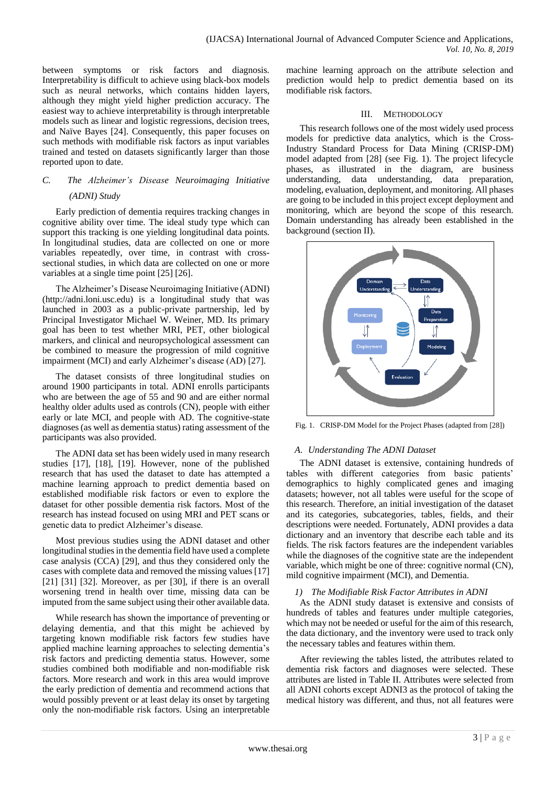between symptoms or risk factors and diagnosis. Interpretability is difficult to achieve using black-box models such as neural networks, which contains hidden layers, although they might yield higher prediction accuracy. The easiest way to achieve interpretability is through interpretable models such as linear and logistic regressions, decision trees, and Naïve Bayes [24]. Consequently, this paper focuses on such methods with modifiable risk factors as input variables trained and tested on datasets significantly larger than those reported upon to date.

# *C. The Alzheimer's Disease Neuroimaging Initiative (ADNI) Study*

Early prediction of dementia requires tracking changes in cognitive ability over time. The ideal study type which can support this tracking is one yielding longitudinal data points. In longitudinal studies, data are collected on one or more variables repeatedly, over time, in contrast with crosssectional studies, in which data are collected on one or more variables at a single time point [25] [26].

The Alzheimer's Disease Neuroimaging Initiative (ADNI) [\(http://adni.loni.usc.edu\)](http://adni.loni.usc.edu/) is a longitudinal study that was launched in 2003 as a public-private partnership, led by Principal Investigator Michael W. Weiner, MD. Its primary goal has been to test whether MRI, PET, other biological markers, and clinical and neuropsychological assessment can be combined to measure the progression of mild cognitive impairment (MCI) and early Alzheimer's disease (AD) [27].

The dataset consists of three longitudinal studies on around 1900 participants in total. ADNI enrolls participants who are between the age of 55 and 90 and are either normal healthy older adults used as controls (CN), people with either early or late MCI, and people with AD. The cognitive-state diagnoses (as well as dementia status) rating assessment of the participants was also provided.

The ADNI data set has been widely used in many research studies [17], [18], [19]. However, none of the published research that has used the dataset to date has attempted a machine learning approach to predict dementia based on established modifiable risk factors or even to explore the dataset for other possible dementia risk factors. Most of the research has instead focused on using MRI and PET scans or genetic data to predict Alzheimer's disease.

Most previous studies using the ADNI dataset and other longitudinal studies in the dementia field have used a complete case analysis (CCA) [29], and thus they considered only the cases with complete data and removed the missing values [17] [21] [31] [32]. Moreover, as per [30], if there is an overall worsening trend in health over time, missing data can be imputed from the same subject using their other available data.

While research has shown the importance of preventing or delaying dementia, and that this might be achieved by targeting known modifiable risk factors few studies have applied machine learning approaches to selecting dementia's risk factors and predicting dementia status. However, some studies combined both modifiable and non-modifiable risk factors. More research and work in this area would improve the early prediction of dementia and recommend actions that would possibly prevent or at least delay its onset by targeting only the non-modifiable risk factors. Using an interpretable machine learning approach on the attribute selection and prediction would help to predict dementia based on its modifiable risk factors.

## III. METHODOLOGY

This research follows one of the most widely used process models for predictive data analytics, which is the Cross-Industry Standard Process for Data Mining (CRISP-DM) model adapted from [28] (see [Fig. 1\)](#page-2-0). The project lifecycle phases, as illustrated in the diagram, are business understanding, data understanding, data preparation, modeling, evaluation, deployment, and monitoring. All phases are going to be included in this project except deployment and monitoring, which are beyond the scope of this research. Domain understanding has already been established in the background (section II).



<span id="page-2-0"></span>Fig. 1. CRISP-DM Model for the Project Phases (adapted from [28])

## *A. Understanding The ADNI Dataset*

The ADNI dataset is extensive, containing hundreds of tables with different categories from basic patients' demographics to highly complicated genes and imaging datasets; however, not all tables were useful for the scope of this research. Therefore, an initial investigation of the dataset and its categories, subcategories, tables, fields, and their descriptions were needed. Fortunately, ADNI provides a data dictionary and an inventory that describe each table and its fields. The risk factors features are the independent variables while the diagnoses of the cognitive state are the independent variable, which might be one of three: cognitive normal (CN), mild cognitive impairment (MCI), and Dementia.

## *1) The Modifiable Risk Factor Attributes in ADNI*

As the ADNI study dataset is extensive and consists of hundreds of tables and features under multiple categories, which may not be needed or useful for the aim of this research, the data dictionary, and the inventory were used to track only the necessary tables and features within them.

After reviewing the tables listed, the attributes related to dementia risk factors and diagnoses were selected. These attributes are listed in Table II. Attributes were selected from all ADNI cohorts except ADNI3 as the protocol of taking the medical history was different, and thus, not all features were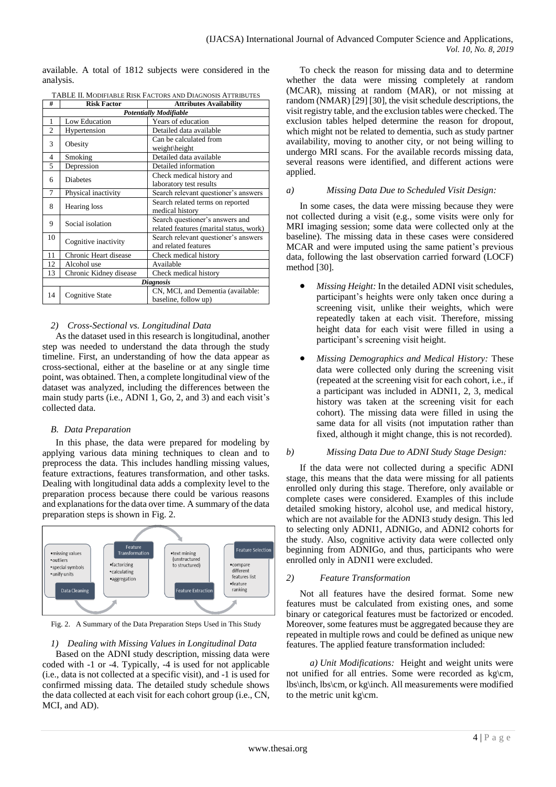available. A total of 1812 subjects were considered in the analysis.

|                               | TABLE II. MODIFIABLE RISK FACTORS AND DIAGNOSIS ATTRIBUTES |                                                                            |  |  |  |  |
|-------------------------------|------------------------------------------------------------|----------------------------------------------------------------------------|--|--|--|--|
| #                             | <b>Risk Factor</b><br><b>Attributes Availability</b>       |                                                                            |  |  |  |  |
| <b>Potentially Modifiable</b> |                                                            |                                                                            |  |  |  |  |
| 1                             | Low Education                                              | Years of education                                                         |  |  |  |  |
| $\overline{c}$                | Hypertension                                               | Detailed data available                                                    |  |  |  |  |
| 3                             | Obesity                                                    | Can be calculated from<br>weight\height                                    |  |  |  |  |
| 4                             | Smoking                                                    | Detailed data available                                                    |  |  |  |  |
| 5                             | Depression                                                 | Detailed information                                                       |  |  |  |  |
| 6                             | <b>Diabetes</b>                                            | Check medical history and<br>laboratory test results                       |  |  |  |  |
| 7                             | Physical inactivity                                        | Search relevant questioner's answers                                       |  |  |  |  |
| 8                             | Hearing loss                                               | Search related terms on reported<br>medical history                        |  |  |  |  |
| 9                             | Social isolation                                           | Search questioner's answers and<br>related features (marital status, work) |  |  |  |  |
| 10                            | Cognitive inactivity                                       | Search relevant questioner's answers<br>and related features               |  |  |  |  |
| 11                            | Chronic Heart disease                                      | Check medical history                                                      |  |  |  |  |
| 12                            | Alcohol use                                                | Available                                                                  |  |  |  |  |
| 13                            | Chronic Kidney disease                                     | Check medical history                                                      |  |  |  |  |
|                               | <b>Diagnosis</b>                                           |                                                                            |  |  |  |  |
| 14                            | Cognitive State                                            | CN, MCI, and Dementia (available:<br>baseline, follow up)                  |  |  |  |  |

## *2) Cross-Sectional vs. Longitudinal Data*

As the dataset used in this research is longitudinal, another step was needed to understand the data through the study timeline. First, an understanding of how the data appear as cross-sectional, either at the baseline or at any single time point, was obtained. Then, a complete longitudinal view of the dataset was analyzed, including the differences between the main study parts (i.e., ADNI 1, Go, 2, and 3) and each visit's collected data.

## *B. Data Preparation*

In this phase, the data were prepared for modeling by applying various data mining techniques to clean and to preprocess the data. This includes handling missing values, feature extractions, features transformation, and other tasks. Dealing with longitudinal data adds a complexity level to the preparation process because there could be various reasons and explanations for the data over time. A summary of the data preparation steps is shown in Fig. 2.



Fig. 2. A Summary of the Data Preparation Steps Used in This Study

#### *1) Dealing with Missing Values in Longitudinal Data*

Based on the ADNI study description, missing data were coded with -1 or -4. Typically, -4 is used for not applicable (i.e., data is not collected at a specific visit), and -1 is used for confirmed missing data. The detailed study schedule shows the data collected at each visit for each cohort group (i.e., CN, MCI, and AD).

To check the reason for missing data and to determine whether the data were missing completely at random (MCAR), missing at random (MAR), or not missing at random (NMAR) [29] [30], the visit schedule descriptions, the visit registry table, and the exclusion tables were checked. The exclusion tables helped determine the reason for dropout, which might not be related to dementia, such as study partner availability, moving to another city, or not being willing to undergo MRI scans. For the available records missing data, several reasons were identified, and different actions were applied.

## *a) Missing Data Due to Scheduled Visit Design:*

In some cases, the data were missing because they were not collected during a visit (e.g., some visits were only for MRI imaging session; some data were collected only at the baseline). The missing data in these cases were considered MCAR and were imputed using the same patient's previous data, following the last observation carried forward (LOCF) method [30].

- *Missing Height:* In the detailed ADNI visit schedules, participant's heights were only taken once during a screening visit, unlike their weights, which were repeatedly taken at each visit. Therefore, missing height data for each visit were filled in using a participant's screening visit height.
- *Missing Demographics and Medical History:* These data were collected only during the screening visit (repeated at the screening visit for each cohort, i.e., if a participant was included in ADNI1, 2, 3, medical history was taken at the screening visit for each cohort). The missing data were filled in using the same data for all visits (not imputation rather than fixed, although it might change, this is not recorded).

#### *b) Missing Data Due to ADNI Study Stage Design:*

If the data were not collected during a specific ADNI stage, this means that the data were missing for all patients enrolled only during this stage. Therefore, only available or complete cases were considered. Examples of this include detailed smoking history, alcohol use, and medical history, which are not available for the ADNI3 study design. This led to selecting only ADNI1, ADNIGo, and ADNI2 cohorts for the study. Also, cognitive activity data were collected only beginning from ADNIGo, and thus, participants who were enrolled only in ADNI1 were excluded.

#### *2) Feature Transformation*

Not all features have the desired format. Some new features must be calculated from existing ones, and some binary or categorical features must be factorized or encoded. Moreover, some features must be aggregated because they are repeated in multiple rows and could be defined as unique new features. The applied feature transformation included:

*a) Unit Modifications:* Height and weight units were not unified for all entries. Some were recorded as kg\cm, lbs\inch, lbs\cm, or kg\inch. All measurements were modified to the metric unit kg\cm.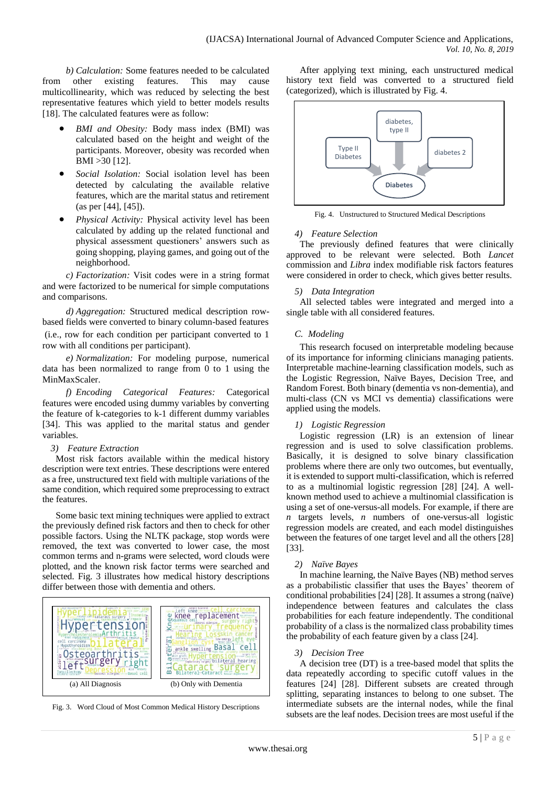*b) Calculation:* Some features needed to be calculated from other existing features. This may cause multicollinearity, which was reduced by selecting the best representative features which yield to better models results [18]. The calculated features were as follow:

- *BMI and Obesity:* Body mass index (BMI) was calculated based on the height and weight of the participants. Moreover, obesity was recorded when BMI >30 [12].
- *Social Isolation:* Social isolation level has been detected by calculating the available relative features, which are the marital status and retirement (as per [44], [45]).
- *Physical Activity:* Physical activity level has been calculated by adding up the related functional and physical assessment questioners' answers such as going shopping, playing games, and going out of the neighborhood.

*c) Factorization:* Visit codes were in a string format and were factorized to be numerical for simple computations and comparisons.

*d) Aggregation:* Structured medical description rowbased fields were converted to binary column-based features (i.e., row for each condition per participant converted to 1 row with all conditions per participant).

*e) Normalization:* For modeling purpose, numerical data has been normalized to range from 0 to 1 using the MinMaxScaler.

*f) Encoding Categorical Features:* Categorical features were encoded using dummy variables by converting the feature of k-categories to k-1 different dummy variables [34]. This was applied to the marital status and gender variables.

#### *3) Feature Extraction*

Most risk factors available within the medical history description were text entries. These descriptions were entered as a free, unstructured text field with multiple variations of the same condition, which required some preprocessing to extract the features.

Some basic text mining techniques were applied to extract the previously defined risk factors and then to check for other possible factors. Using the NLTK package, stop words were removed, the text was converted to lower case, the most common terms and n-grams were selected, word clouds were plotted, and the known risk factor terms were searched and selected. Fig. 3 illustrates how medical history descriptions differ between those with dementia and others.





After applying text mining, each unstructured medical history text field was converted to a structured field (categorized), which is illustrated by Fig. 4.



Fig. 4. Unstructured to Structured Medical Descriptions

## *4) Feature Selection*

The previously defined features that were clinically approved to be relevant were selected. Both *Lancet* commission and *Libra* index modifiable risk factors features were considered in order to check, which gives better results.

## *5) Data Integration*

All selected tables were integrated and merged into a single table with all considered features.

## *C. Modeling*

This research focused on interpretable modeling because of its importance for informing clinicians managing patients. Interpretable machine-learning classification models, such as the Logistic Regression, Naïve Bayes, Decision Tree, and Random Forest. Both binary (dementia vs non-dementia), and multi-class (CN vs MCI vs dementia) classifications were applied using the models.

## *1) Logistic Regression*

Logistic regression (LR) is an extension of linear regression and is used to solve classification problems. Basically, it is designed to solve binary classification problems where there are only two outcomes, but eventually, it is extended to support multi-classification, which is referred to as a multinomial logistic regression [28] [24]. A wellknown method used to achieve a multinomial classification is using a set of one-versus-all models. For example, if there are *n* targets levels, *n* numbers of one-versus-all logistic regression models are created, and each model distinguishes between the features of one target level and all the others [28] [33].

#### *2) Naïve Bayes*

In machine learning, the Naïve Bayes (NB) method serves as a probabilistic classifier that uses the Bayes' theorem of conditional probabilities [24] [28]. It assumes a strong (naïve) independence between features and calculates the class probabilities for each feature independently. The conditional probability of a class is the normalized class probability times the probability of each feature given by a class [24].

#### *3) Decision Tree*

A decision tree (DT) is a tree-based model that splits the data repeatedly according to specific cutoff values in the features [24] [28]. Different subsets are created through splitting, separating instances to belong to one subset. The intermediate subsets are the internal nodes, while the final subsets are the leaf nodes. Decision trees are most useful if the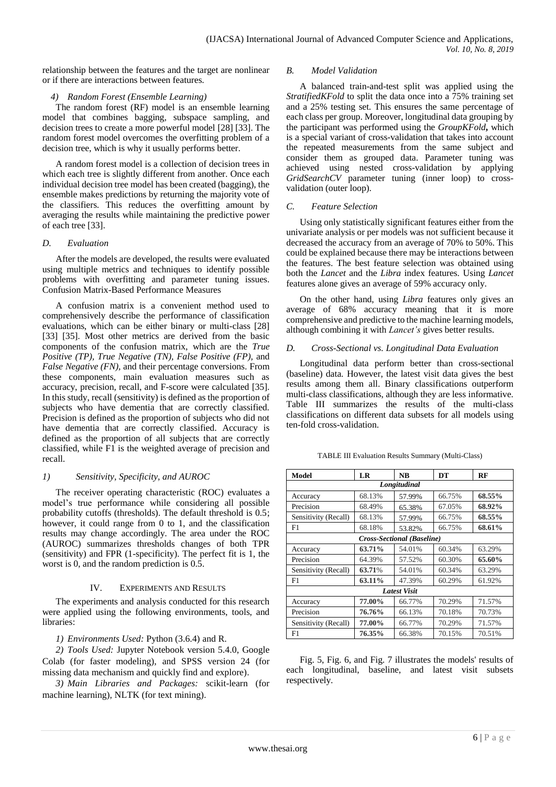relationship between the features and the target are nonlinear or if there are interactions between features.

## *4) Random Forest (Ensemble Learning)*

The random forest (RF) model is an ensemble learning model that combines bagging, subspace sampling, and decision trees to create a more powerful model [28] [33]. The random forest model overcomes the overfitting problem of a decision tree, which is why it usually performs better.

A random forest model is a collection of decision trees in which each tree is slightly different from another. Once each individual decision tree model has been created (bagging), the ensemble makes predictions by returning the majority vote of the classifiers. This reduces the overfitting amount by averaging the results while maintaining the predictive power of each tree [33].

## *D. Evaluation*

After the models are developed, the results were evaluated using multiple metrics and techniques to identify possible problems with overfitting and parameter tuning issues. Confusion Matrix-Based Performance Measures

A confusion matrix is a convenient method used to comprehensively describe the performance of classification evaluations, which can be either binary or multi-class [28] [33] [35]. Most other metrics are derived from the basic components of the confusion matrix, which are the *True Positive (TP), True Negative (TN), False Positive (FP),* and *False Negative (FN),* and their percentage conversions. From these components, main evaluation measures such as accuracy, precision, recall, and F-score were calculated [35]. In this study, recall (sensitivity) is defined as the proportion of subjects who have dementia that are correctly classified. Precision is defined as the proportion of subjects who did not have dementia that are correctly classified. Accuracy is defined as the proportion of all subjects that are correctly classified, while F1 is the weighted average of precision and recall.

# *1) Sensitivity, Specificity, and AUROC*

The receiver operating characteristic (ROC) evaluates a model's true performance while considering all possible probability cutoffs (thresholds). The default threshold is 0.5; however, it could range from 0 to 1, and the classification results may change accordingly. The area under the ROC (AUROC) summarizes thresholds changes of both TPR (sensitivity) and FPR (1-specificity). The perfect fit is 1, the worst is 0, and the random prediction is 0.5.

# IV. EXPERIMENTS AND RESULTS

The experiments and analysis conducted for this research were applied using the following environments, tools, and libraries:

*1) Environments Used:* Python (3.6.4) and R.

*2) Tools Used:* Jupyter Notebook version 5.4.0, Google Colab (for faster modeling), and SPSS version 24 (for missing data mechanism and quickly find and explore).

*3) Main Libraries and Packages:* scikit-learn (for machine learning), NLTK (for text mining)*.*

## *B. Model Validation*

A balanced train-and-test split was applied using the *StratifiedKFold* to split the data once into a 75% training set and a 25% testing set. This ensures the same percentage of each class per group. Moreover, longitudinal data grouping by the participant was performed using the *GroupKFold***,** which is a special variant of cross-validation that takes into account the repeated measurements from the same subject and consider them as grouped data. Parameter tuning was achieved using nested cross-validation by applying GridSearchCV parameter tuning (inner loop) to crossvalidation (outer loop).

## *C. Feature Selection*

Using only statistically significant features either from the univariate analysis or per models was not sufficient because it decreased the accuracy from an average of 70% to 50%. This could be explained because there may be interactions between the features. The best feature selection was obtained using both the *Lancet* and the *Libra* index features. Using *Lancet* features alone gives an average of 59% accuracy only.

On the other hand, using *Libra* features only gives an average of 68% accuracy meaning that it is more comprehensive and predictive to the machine learning models, although combining it with *Lancet's* gives better results.

# *D. Cross-Sectional vs. Longitudinal Data Evaluation*

Longitudinal data perform better than cross-sectional (baseline) data. However, the latest visit data gives the best results among them all. Binary classifications outperform multi-class classifications, although they are less informative. Table III summarizes the results of the multi-class classifications on different data subsets for all models using ten-fold cross-validation.

| Model                | LR     | <b>NB</b>                  | DT     | RF     |  |  |
|----------------------|--------|----------------------------|--------|--------|--|--|
| Longitudinal         |        |                            |        |        |  |  |
| Accuracy             | 68.13% | 57.99%                     | 66.75% | 68.55% |  |  |
| Precision            | 68.49% | 65.38%                     | 67.05% | 68.92% |  |  |
| Sensitivity (Recall) | 68.13% | 57.99%                     | 66.75% | 68.55% |  |  |
| F1                   | 68.18% | 53.82%                     | 66.75% | 68.61% |  |  |
|                      |        | Cross-Sectional (Baseline) |        |        |  |  |
| Accuracy             | 63.71% | 54.01%                     | 60.34% | 63.29% |  |  |
| Precision            | 64.39% | 57.52%                     | 60.30% | 65.60% |  |  |
| Sensitivity (Recall) | 63.71% | 54.01%                     | 60.34% | 63.29% |  |  |
| F1                   | 63.11% | 47.39%                     | 60.29% | 61.92% |  |  |
| <b>Latest Visit</b>  |        |                            |        |        |  |  |
| Accuracy             | 77.00% | 66.77%                     | 70.29% | 71.57% |  |  |
| Precision            | 76.76% | 66.13%                     | 70.18% | 70.73% |  |  |
| Sensitivity (Recall) | 77.00% | 66.77%                     | 70.29% | 71.57% |  |  |
| F1                   | 76.35% | 66.38%                     | 70.15% | 70.51% |  |  |

TABLE III Evaluation Results Summary (Multi-Class)

Fig. 5, Fig. 6, and Fig. 7 illustrates the models' results of each longitudinal, baseline, and latest visit subsets respectively.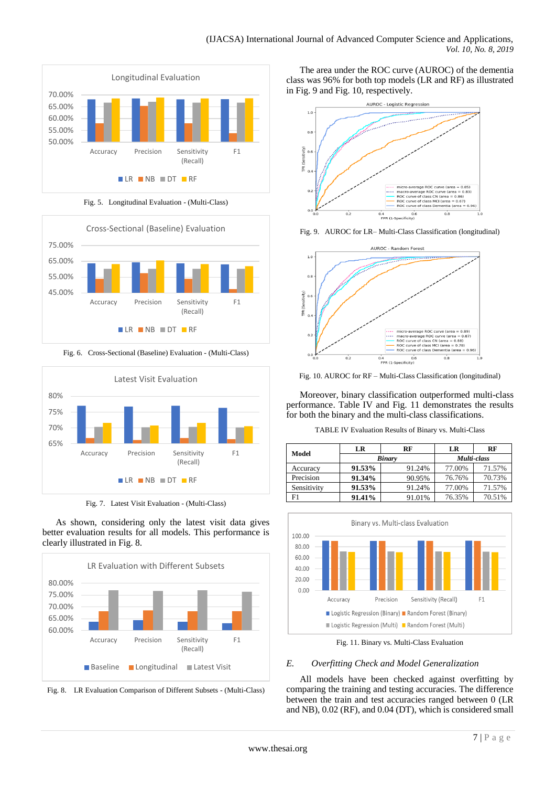

Fig. 5. Longitudinal Evaluation - (Multi-Class)



Fig. 6. Cross-Sectional (Baseline) Evaluation - (Multi-Class)



Fig. 7. Latest Visit Evaluation - (Multi-Class)

As shown, considering only the latest visit data gives better evaluation results for all models. This performance is clearly illustrated in Fig. 8.





The area under the ROC curve (AUROC) of the dementia class was 96% for both top models (LR and RF) as illustrated in Fig. 9 and Fig. 10, respectively.



Fig. 9. AUROC for LR– Multi-Class Classification (longitudinal)



Fig. 10. AUROC for RF – Multi-Class Classification (longitudinal)

Moreover, binary classification outperformed multi-class performance. Table IV and Fig. 11 demonstrates the results for both the binary and the multi-class classifications.

TABLE IV Evaluation Results of Binary vs. Multi-Class

| Model       | LR     | RF            | LR          | RF     |  |
|-------------|--------|---------------|-------------|--------|--|
|             |        | <b>Binary</b> | Multi-class |        |  |
| Accuracy    | 91.53% | 91.24%        | 77.00%      | 71.57% |  |
| Precision   | 91.34% | 90.95%        | 76.76%      | 70.73% |  |
| Sensitivity | 91.53% | 91.24%        | 77.00%      | 71.57% |  |
| F1          | 91.41% | 91.01%        | 76.35%      | 70.51% |  |



Fig. 11. Binary vs. Multi-Class Evaluation

# *E. Overfitting Check and Model Generalization*

All models have been checked against overfitting by comparing the training and testing accuracies. The difference between the train and test accuracies ranged between 0 (LR and NB), 0.02 (RF), and 0.04 (DT), which is considered small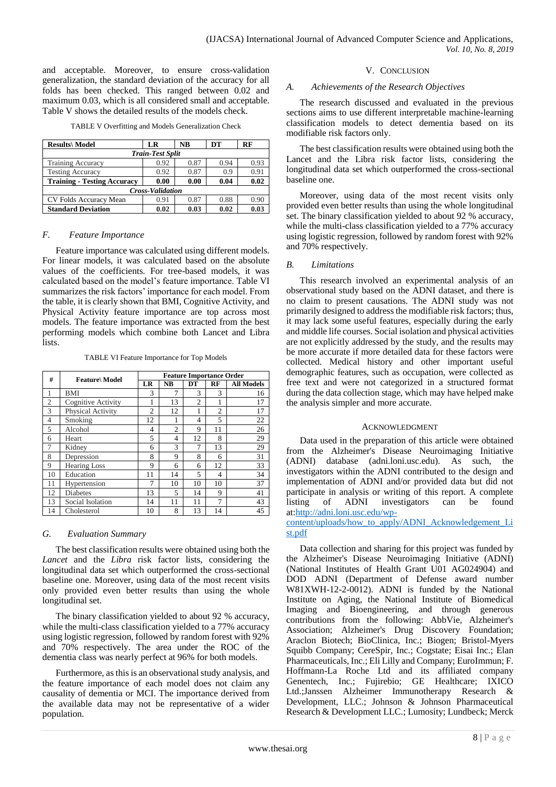and acceptable. Moreover, to ensure cross-validation generalization, the standard deviation of the accuracy for all folds has been checked. This ranged between 0.02 and maximum 0.03, which is all considered small and acceptable. Table V shows the detailed results of the models check.

|  | TABLE V Overfitting and Models Generalization Check |  |
|--|-----------------------------------------------------|--|
|  |                                                     |  |

| <b>Results\</b> Model              | LR   | <b>NB</b> | DT   | RF   |  |  |
|------------------------------------|------|-----------|------|------|--|--|
| <b>Train-Test Split</b>            |      |           |      |      |  |  |
| <b>Training Accuracy</b>           | 0.92 | 0.87      | 0.94 | 0.93 |  |  |
| <b>Testing Accuracy</b>            | 0.92 | 0.87      | 0.9  | 0.91 |  |  |
| <b>Training - Testing Accuracy</b> | 0.00 | 0.00      | 0.04 | 0.02 |  |  |
| <b>Cross-Validation</b>            |      |           |      |      |  |  |
| CV Folds Accuracy Mean             | 0.91 | 0.87      | 0.88 | 0.90 |  |  |
| <b>Standard Deviation</b>          | 0.02 | 0.03      | 0.02 | 0.03 |  |  |

#### *F. Feature Importance*

Feature importance was calculated using different models. For linear models, it was calculated based on the absolute values of the coefficients. For tree-based models, it was calculated based on the model's feature importance. Table VI summarizes the risk factors' importance for each model. From the table, it is clearly shown that BMI, Cognitive Activity, and Physical Activity feature importance are top across most models. The feature importance was extracted from the best performing models which combine both Lancet and Libra lists.

TABLE VI Feature Importance for Top Models

| #              | <b>Feature</b> Model | <b>Feature Importance Order</b> |                |                |                |                   |
|----------------|----------------------|---------------------------------|----------------|----------------|----------------|-------------------|
|                |                      | LR                              | NB             | DT             | RF             | <b>All Models</b> |
|                | BMI                  | 3                               | 7              | 3              | 3              | 16                |
| $\overline{c}$ | Cognitive Activity   |                                 | 13             | $\mathfrak{D}$ |                | 17                |
| 3              | Physical Activity    | $\overline{c}$                  | 12             |                | $\overline{2}$ | 17                |
| 4              | Smoking              | 12                              | 1              | 4              | 5              | 22                |
| 5              | Alcohol              | 4                               | $\overline{c}$ | 9              | 11             | 26                |
| 6              | Heart                | 5                               | 4              | 12             | 8              | 29                |
| 7              | Kidney               | 6                               | 3              | 7              | 13             | 29                |
| 8              | Depression           | 8                               | 9              | 8              | 6              | 31                |
| 9              | <b>Hearing Loss</b>  | 9                               | 6              | 6              | 12             | 33                |
| 10             | Education            | 11                              | 14             | 5              | 4              | 34                |
| 11             | Hypertension         | 7                               | 10             | 10             | 10             | 37                |
| 12             | <b>Diabetes</b>      | 13                              | 5              | 14             | 9              | 41                |
| 13             | Social Isolation     | 14                              | 11             | 11             | 7              | 43                |
| 14             | Cholesterol          | 10                              | 8              | 13             | 14             | 45                |

#### *G. Evaluation Summary*

The best classification results were obtained using both the *Lancet* and the *Libra* risk factor lists, considering the longitudinal data set which outperformed the cross-sectional baseline one. Moreover, using data of the most recent visits only provided even better results than using the whole longitudinal set.

The binary classification yielded to about 92 % accuracy, while the multi-class classification yielded to a 77% accuracy using logistic regression, followed by random forest with 92% and 70% respectively. The area under the ROC of the dementia class was nearly perfect at 96% for both models.

Furthermore, as this is an observational study analysis, and the feature importance of each model does not claim any causality of dementia or MCI. The importance derived from the available data may not be representative of a wider population.

#### V. CONCLUSION

#### *A. Achievements of the Research Objectives*

The research discussed and evaluated in the previous sections aims to use different interpretable machine-learning classification models to detect dementia based on its modifiable risk factors only.

The best classification results were obtained using both the Lancet and the Libra risk factor lists, considering the longitudinal data set which outperformed the cross-sectional baseline one.

Moreover, using data of the most recent visits only provided even better results than using the whole longitudinal set. The binary classification yielded to about 92 % accuracy, while the multi-class classification yielded to a 77% accuracy using logistic regression, followed by random forest with 92% and 70% respectively.

#### *B. Limitations*

This research involved an experimental analysis of an observational study based on the ADNI dataset, and there is no claim to present causations. The ADNI study was not primarily designed to address the modifiable risk factors; thus, it may lack some useful features, especially during the early and middle life courses. Social isolation and physical activities are not explicitly addressed by the study, and the results may be more accurate if more detailed data for these factors were collected. Medical history and other important useful demographic features, such as occupation, were collected as free text and were not categorized in a structured format during the data collection stage, which may have helped make the analysis simpler and more accurate.

#### ACKNOWLEDGMENT

Data used in the preparation of this article were obtained from the Alzheimer's Disease Neuroimaging Initiative (ADNI) database (adni.loni.usc.edu). As such, the investigators within the ADNI contributed to the design and implementation of ADNI and/or provided data but did not participate in analysis or writing of this report. A complete listing of ADNI investigators can be found listing of ADNI investigators can be found at[:http://adni.loni.usc.edu/wp-](http://adni.loni.usc.edu/wp-content/uploads/how_to_apply/ADNI_Acknowledgement_List.pdf)

### [content/uploads/how\\_to\\_apply/ADNI\\_Acknowledgement\\_Li](http://adni.loni.usc.edu/wp-content/uploads/how_to_apply/ADNI_Acknowledgement_List.pdf) [st.pdf](http://adni.loni.usc.edu/wp-content/uploads/how_to_apply/ADNI_Acknowledgement_List.pdf)

Data collection and sharing for this project was funded by the Alzheimer's Disease Neuroimaging Initiative (ADNI) (National Institutes of Health Grant U01 AG024904) and DOD ADNI (Department of Defense award number W81XWH-12-2-0012). ADNI is funded by the National Institute on Aging, the National Institute of Biomedical Imaging and Bioengineering, and through generous contributions from the following: AbbVie, Alzheimer's Association; Alzheimer's Drug Discovery Foundation; Araclon Biotech; BioClinica, Inc.; Biogen; Bristol-Myers Squibb Company; CereSpir, Inc.; Cogstate; Eisai Inc.; Elan Pharmaceuticals, Inc.; Eli Lilly and Company; EuroImmun; F. Hoffmann-La Roche Ltd and its affiliated company Genentech, Inc.; Fujirebio; GE Healthcare; IXICO Ltd.;Janssen Alzheimer Immunotherapy Research & Development, LLC.; Johnson & Johnson Pharmaceutical Research & Development LLC.; Lumosity; Lundbeck; Merck